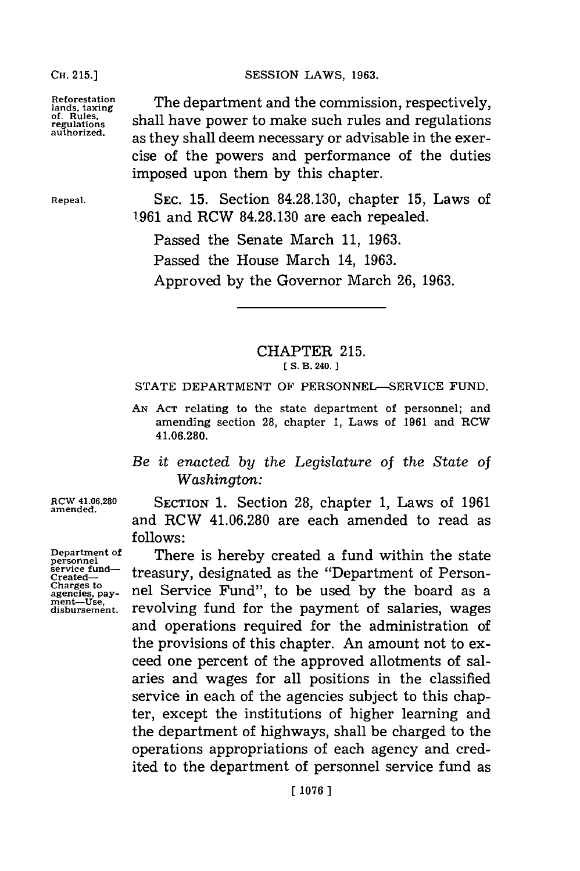## **OH. 15.]SESSION** LAWS, **1963.**

**Reforestation lands, taxing of. Rules, regulations**

**CH. 215.]**

**authorized.**

The department and the commission, respectively, shall have power to make such rules and regulations as they shall deem necessary or advisable in the exercise of the powers and performance of the duties imposed upon them **by** this chapter.

**Repeal.**

SEC. **15.** Section **84.28.130,** chapter **15,** Laws of **1.961** and RCW **84.28.130** are each repealed.

Passed the Senate March **11, 1963.** Passed the House March 14, **1963.** Approved **by** the Governor March **26, 1963.**

## CHAPTER **215.**

**ES. B. 240.**

**STATE** DEPARTMENT OF PERSONNEL-SERVICE **FUND.**

- **AN ACT** relating to the state department of personnel; and amending section **28,** chapter **1,** Laws of **1961** and ROW 41.06.280.
- *Be it enacted by the Legislature of the State of*  $Washindon:$

**ROW 41.06.280 amended.**

**Department of**

SECTION **1.** Section **28,** chapter **1,** Laws of **1961** and RCW 41.06.280 are each amended to read as **follows:**

There is hereby created a fund within the state treasury, designated as the "Department of Personnel Service Fund", to be used **by** the board as a revolving fund for the payment of salaries, wages and operations required for the administration of the provisions of this chapter. An amount not to exceed one percent of the approved allotments of salaries and wages for all positions in the classified service in each of the agencies subject to this chapter, except the institutions of higher learning and the department of highways, shall be charged to the operations appropriations of each agency and credited to the department of personnel service fund as

**personnel service fund-Created-Charges** to **agencies, pay- ment-Use, disbursement.**